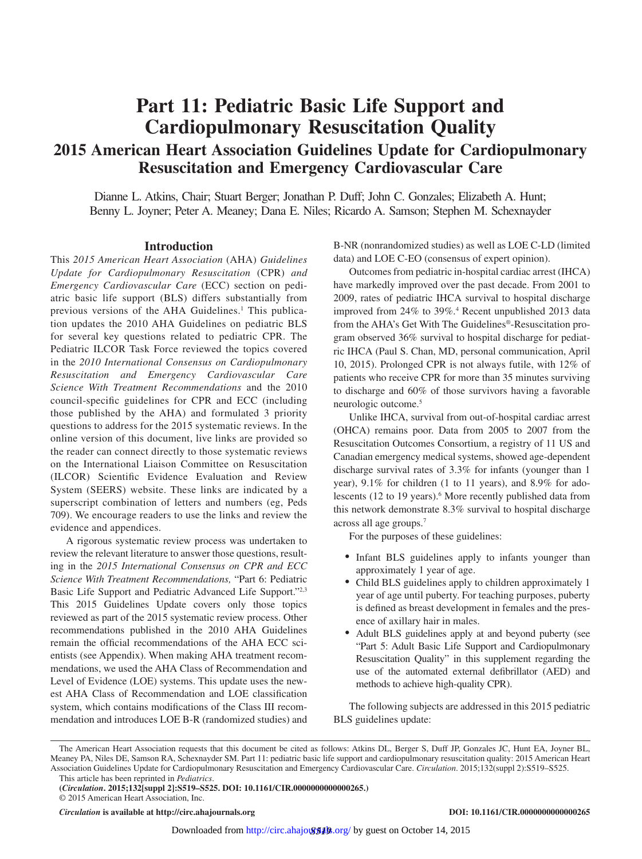# **Part 11: Pediatric Basic Life Support and Cardiopulmonary Resuscitation Quality**

## **2015 American Heart Association Guidelines Update for Cardiopulmonary Resuscitation and Emergency Cardiovascular Care**

Dianne L. Atkins, Chair; Stuart Berger; Jonathan P. Duff; John C. Gonzales; Elizabeth A. Hunt; Benny L. Joyner; Peter A. Meaney; Dana E. Niles; Ricardo A. Samson; Stephen M. Schexnayder

#### **Introduction**

This *2015 American Heart Association* (AHA) *Guidelines Update for Cardiopulmonary Resuscitation* (CPR) *and Emergency Cardiovascular Care* (ECC) section on pediatric basic life support (BLS) differs substantially from previous versions of the AHA Guidelines.<sup>1</sup> This publication updates the 2010 AHA Guidelines on pediatric BLS for several key questions related to pediatric CPR. The Pediatric ILCOR Task Force reviewed the topics covered in the *2010 International Consensus on Cardiopulmonary Resuscitation and Emergency Cardiovascular Care Science With Treatment Recommendations* and the 2010 council-specific guidelines for CPR and ECC (including those published by the AHA) and formulated 3 priority questions to address for the 2015 systematic reviews. In the online version of this document, live links are provided so the reader can connect directly to those systematic reviews on the International Liaison Committee on Resuscitation (ILCOR) Scientific Evidence Evaluation and Review System (SEERS) website. These links are indicated by a superscript combination of letters and numbers (eg, Peds 709). We encourage readers to use the links and review the evidence and appendices.

A rigorous systematic review process was undertaken to review the relevant literature to answer those questions, resulting in the *2015 International Consensus on CPR and ECC Science With Treatment Recommendations,* "Part 6: Pediatric Basic Life Support and Pediatric Advanced Life Support."2,3 This 2015 Guidelines Update covers only those topics reviewed as part of the 2015 systematic review process. Other recommendations published in the 2010 AHA Guidelines remain the official recommendations of the AHA ECC scientists (see Appendix). When making AHA treatment recommendations, we used the AHA Class of Recommendation and Level of Evidence (LOE) systems. This update uses the newest AHA Class of Recommendation and LOE classification system, which contains modifications of the Class III recommendation and introduces LOE B-R (randomized studies) and B-NR (nonrandomized studies) as well as LOE C-LD (limited data) and LOE C-EO (consensus of expert opinion).

Outcomes from pediatric in-hospital cardiac arrest (IHCA) have markedly improved over the past decade. From 2001 to 2009, rates of pediatric IHCA survival to hospital discharge improved from 24% to 39%.4 Recent unpublished 2013 data from the AHA's Get With The Guidelines®-Resuscitation program observed 36% survival to hospital discharge for pediatric IHCA (Paul S. Chan, MD, personal communication, April 10, 2015). Prolonged CPR is not always futile, with 12% of patients who receive CPR for more than 35 minutes surviving to discharge and 60% of those survivors having a favorable neurologic outcome.5

Unlike IHCA, survival from out-of-hospital cardiac arrest (OHCA) remains poor. Data from 2005 to 2007 from the Resuscitation Outcomes Consortium, a registry of 11 US and Canadian emergency medical systems, showed age-dependent discharge survival rates of 3.3% for infants (younger than 1 year), 9.1% for children (1 to 11 years), and 8.9% for adolescents (12 to 19 years).<sup>6</sup> More recently published data from this network demonstrate 8.3% survival to hospital discharge across all age groups.7

For the purposes of these guidelines:

- Infant BLS guidelines apply to infants younger than approximately 1 year of age.
- • Child BLS guidelines apply to children approximately 1 year of age until puberty. For teaching purposes, puberty is defined as breast development in females and the presence of axillary hair in males.
- Adult BLS guidelines apply at and beyond puberty (see "Part 5: Adult Basic Life Support and Cardiopulmonary Resuscitation Quality" in this supplement regarding the use of the automated external defibrillator (AED) and methods to achieve high-quality CPR).

The following subjects are addressed in this 2015 pediatric BLS guidelines update:

*Circulation* **is available at http://circ.ahajournals.org DOI: 10.1161/CIR.0000000000000265**

The American Heart Association requests that this document be cited as follows: Atkins DL, Berger S, Duff JP, Gonzales JC, Hunt EA, Joyner BL, Meaney PA, Niles DE, Samson RA, Schexnayder SM. Part 11: pediatric basic life support and cardiopulmonary resuscitation quality: 2015 American Heart Association Guidelines Update for Cardiopulmonary Resuscitation and Emergency Cardiovascular Care. *Circulation*. 2015;132(suppl 2):S519–S525.

This article has been reprinted in *Pediatrics*.

**<sup>(</sup>***Circulation***. 2015;132[suppl 2]:S519–S525. DOI: 10.1161/CIR.0000000000000265.)**

<sup>© 2015</sup> American Heart Association, Inc.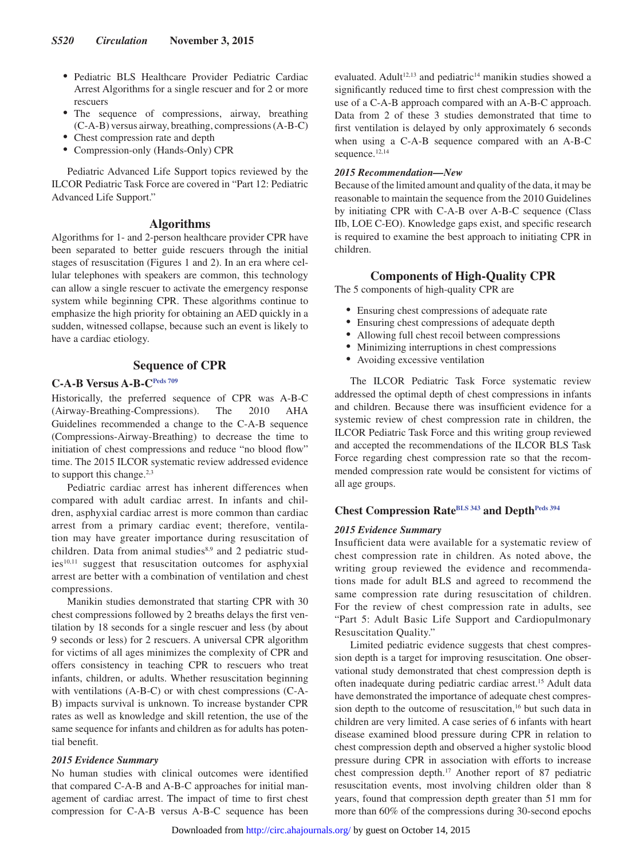- • Pediatric BLS Healthcare Provider Pediatric Cardiac Arrest Algorithms for a single rescuer and for 2 or more rescuers
- The sequence of compressions, airway, breathing (C-A-B) versus airway, breathing, compressions (A-B-C)
- Chest compression rate and depth
- Compression-only (Hands-Only) CPR

Pediatric Advanced Life Support topics reviewed by the ILCOR Pediatric Task Force are covered in "Part 12: Pediatric Advanced Life Support."

## **Algorithms**

Algorithms for 1- and 2-person healthcare provider CPR have been separated to better guide rescuers through the initial stages of resuscitation (Figures 1 and 2). In an era where cellular telephones with speakers are common, this technology can allow a single rescuer to activate the emergency response system while beginning CPR. These algorithms continue to emphasize the high priority for obtaining an AED quickly in a sudden, witnessed collapse, because such an event is likely to have a cardiac etiology.

## **Sequence of CPR**

## **C-A-B Versus A-B-[CPeds 709](https://volunteer.heart.org/apps/pico/Pages/PublicComment.aspx?q=709)**

Historically, the preferred sequence of CPR was A-B-C (Airway-Breathing-Compressions). The 2010 AHA Guidelines recommended a change to the C-A-B sequence (Compressions-Airway-Breathing) to decrease the time to initiation of chest compressions and reduce "no blood flow" time. The 2015 ILCOR systematic review addressed evidence to support this change.<sup>2,3</sup>

Pediatric cardiac arrest has inherent differences when compared with adult cardiac arrest. In infants and children, asphyxial cardiac arrest is more common than cardiac arrest from a primary cardiac event; therefore, ventilation may have greater importance during resuscitation of children. Data from animal studies<sup>8,9</sup> and 2 pediatric stud $ies<sup>10,11</sup>$  suggest that resuscitation outcomes for asphyxial arrest are better with a combination of ventilation and chest compressions.

Manikin studies demonstrated that starting CPR with 30 chest compressions followed by 2 breaths delays the first ventilation by 18 seconds for a single rescuer and less (by about 9 seconds or less) for 2 rescuers. A universal CPR algorithm for victims of all ages minimizes the complexity of CPR and offers consistency in teaching CPR to rescuers who treat infants, children, or adults. Whether resuscitation beginning with ventilations (A-B-C) or with chest compressions (C-A-B) impacts survival is unknown. To increase bystander CPR rates as well as knowledge and skill retention, the use of the same sequence for infants and children as for adults has potential benefit.

#### *2015 Evidence Summary*

No human studies with clinical outcomes were identified that compared C-A-B and A-B-C approaches for initial management of cardiac arrest. The impact of time to first chest compression for C-A-B versus A-B-C sequence has been

evaluated. Adult<sup>12,13</sup> and pediatric<sup>14</sup> manikin studies showed a significantly reduced time to first chest compression with the use of a C-A-B approach compared with an A-B-C approach. Data from 2 of these 3 studies demonstrated that time to first ventilation is delayed by only approximately 6 seconds when using a C-A-B sequence compared with an A-B-C sequence.<sup>12,14</sup>

#### *2015 Recommendation—New*

Because of the limited amount and quality of the data, it may be reasonable to maintain the sequence from the 2010 Guidelines by initiating CPR with C-A-B over A-B-C sequence (Class IIb, LOE C-EO). Knowledge gaps exist, and specific research is required to examine the best approach to initiating CPR in children.

### **Components of High-Quality CPR**

The 5 components of high-quality CPR are

- Ensuring chest compressions of adequate rate
- Ensuring chest compressions of adequate depth
- Allowing full chest recoil between compressions
- Minimizing interruptions in chest compressions
- Avoiding excessive ventilation

The ILCOR Pediatric Task Force systematic review addressed the optimal depth of chest compressions in infants and children. Because there was insufficient evidence for a systemic review of chest compression rate in children, the ILCOR Pediatric Task Force and this writing group reviewed and accepted the recommendations of the ILCOR BLS Task Force regarding chest compression rate so that the recommended compression rate would be consistent for victims of all age groups.

## **Chest Compression Rate[BLS 343](https://volunteer.heart.org/apps/pico/Pages/PublicComment.aspx?q=343) and Depth[Peds 394](https://volunteer.heart.org/apps/pico/Pages/PublicComment.aspx?q=394)**

#### *2015 Evidence Summary*

Insufficient data were available for a systematic review of chest compression rate in children. As noted above, the writing group reviewed the evidence and recommendations made for adult BLS and agreed to recommend the same compression rate during resuscitation of children. For the review of chest compression rate in adults, see "Part 5: Adult Basic Life Support and Cardiopulmonary Resuscitation Quality."

Limited pediatric evidence suggests that chest compression depth is a target for improving resuscitation. One observational study demonstrated that chest compression depth is often inadequate during pediatric cardiac arrest.15 Adult data have demonstrated the importance of adequate chest compression depth to the outcome of resuscitation,<sup>16</sup> but such data in children are very limited. A case series of 6 infants with heart disease examined blood pressure during CPR in relation to chest compression depth and observed a higher systolic blood pressure during CPR in association with efforts to increase chest compression depth.17 Another report of 87 pediatric resuscitation events, most involving children older than 8 years, found that compression depth greater than 51 mm for more than 60% of the compressions during 30-second epochs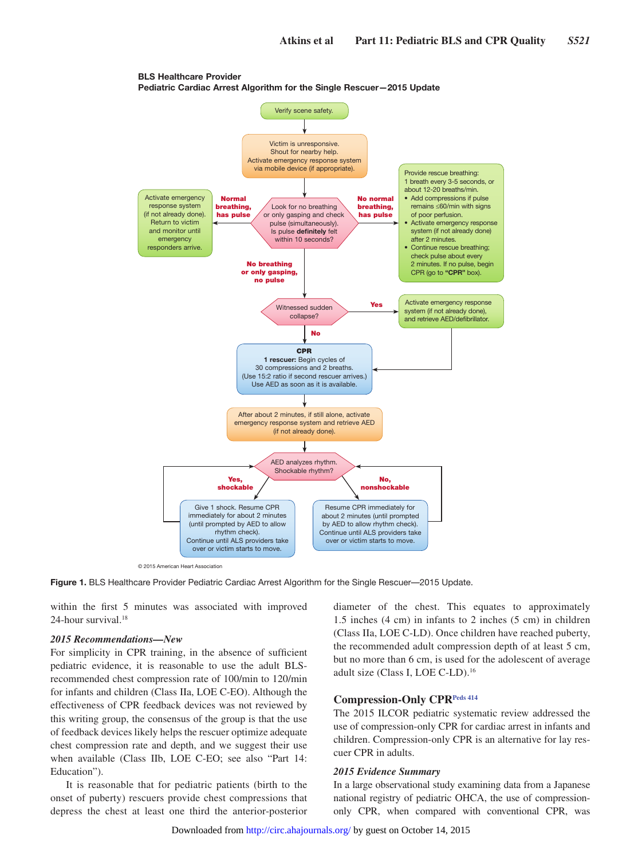

BLS Healthcare Provider Pediatric Cardiac Arrest Algorithm for the Single Rescuer—2015 Update

**Figure 1.** BLS Healthcare Provider Pediatric Cardiac Arrest Algorithm for the Single Rescuer—2015 Update.

within the first 5 minutes was associated with improved 24-hour survival.<sup>18</sup>

### *2015 Recommendations—New*

For simplicity in CPR training, in the absence of sufficient pediatric evidence, it is reasonable to use the adult BLSrecommended chest compression rate of 100/min to 120/min for infants and children (Class IIa, LOE C-EO). Although the effectiveness of CPR feedback devices was not reviewed by this writing group, the consensus of the group is that the use of feedback devices likely helps the rescuer optimize adequate chest compression rate and depth, and we suggest their use when available (Class IIb, LOE C-EO; see also "Part 14: Education").

It is reasonable that for pediatric patients (birth to the onset of puberty) rescuers provide chest compressions that depress the chest at least one third the anterior-posterior diameter of the chest. This equates to approximately 1.5 inches (4 cm) in infants to 2 inches (5 cm) in children (Class IIa, LOE C-LD). Once children have reached puberty, the recommended adult compression depth of at least 5 cm, but no more than 6 cm, is used for the adolescent of average adult size (Class I, LOE C-LD).16

## **Compression-Only CPR[Peds 414](https://volunteer.heart.org/apps/pico/Pages/PublicComment.aspx?q=414)**

The 2015 ILCOR pediatric systematic review addressed the use of compression-only CPR for cardiac arrest in infants and children. Compression-only CPR is an alternative for lay rescuer CPR in adults.

#### *2015 Evidence Summary*

In a large observational study examining data from a Japanese national registry of pediatric OHCA, the use of compressiononly CPR, when compared with conventional CPR, was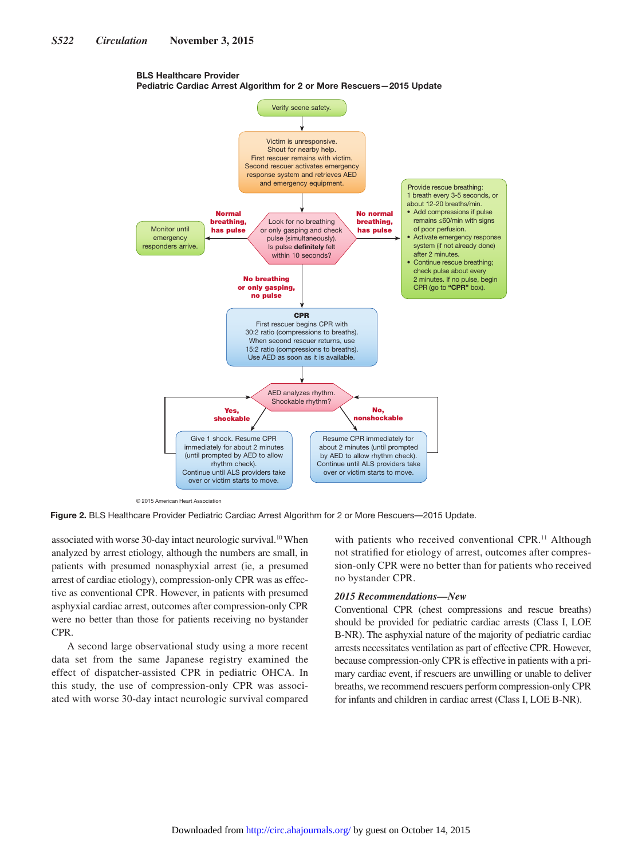



© 2015 American Heart Association

**Figure 2.** BLS Healthcare Provider Pediatric Cardiac Arrest Algorithm for 2 or More Rescuers—2015 Update.

associated with worse 30-day intact neurologic survival.<sup>10</sup> When analyzed by arrest etiology, although the numbers are small, in patients with presumed nonasphyxial arrest (ie, a presumed arrest of cardiac etiology), compression-only CPR was as effective as conventional CPR. However, in patients with presumed asphyxial cardiac arrest, outcomes after compression-only CPR were no better than those for patients receiving no bystander CPR.

A second large observational study using a more recent data set from the same Japanese registry examined the effect of dispatcher-assisted CPR in pediatric OHCA. In this study, the use of compression-only CPR was associated with worse 30-day intact neurologic survival compared

with patients who received conventional CPR.<sup>11</sup> Although not stratified for etiology of arrest, outcomes after compression-only CPR were no better than for patients who received no bystander CPR.

#### *2015 Recommendations—New*

Conventional CPR (chest compressions and rescue breaths) should be provided for pediatric cardiac arrests (Class I, LOE B-NR). The asphyxial nature of the majority of pediatric cardiac arrests necessitates ventilation as part of effective CPR. However, because compression-only CPR is effective in patients with a primary cardiac event, if rescuers are unwilling or unable to deliver breaths, we recommend rescuers perform compression-only CPR for infants and children in cardiac arrest (Class I, LOE B-NR).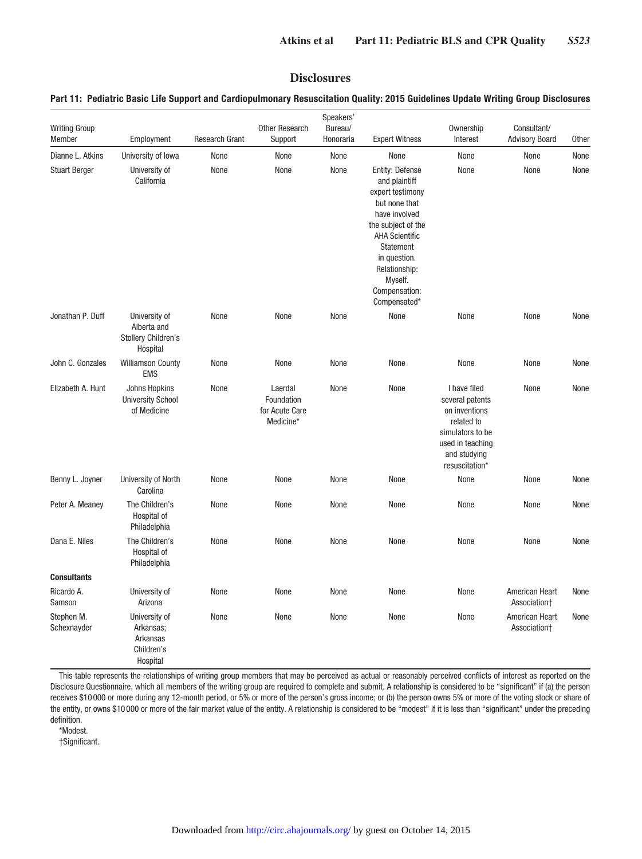## **Disclosures**

## **Part 11: Pediatric Basic Life Support and Cardiopulmonary Resuscitation Quality: 2015 Guidelines Update Writing Group Disclosures**

|                                |                                                                        |                       |                                                      | Speakers'            |                                                                                                                                                                                                                                        |                                                                                                                                          |                                      |              |
|--------------------------------|------------------------------------------------------------------------|-----------------------|------------------------------------------------------|----------------------|----------------------------------------------------------------------------------------------------------------------------------------------------------------------------------------------------------------------------------------|------------------------------------------------------------------------------------------------------------------------------------------|--------------------------------------|--------------|
| <b>Writing Group</b><br>Member | Employment                                                             | <b>Research Grant</b> | <b>Other Research</b><br>Support                     | Bureau/<br>Honoraria | <b>Expert Witness</b>                                                                                                                                                                                                                  | Ownership<br>Interest                                                                                                                    | Consultant/<br><b>Advisory Board</b> | <b>Other</b> |
| Dianne L. Atkins               | University of lowa                                                     | None                  | None                                                 | None                 | None                                                                                                                                                                                                                                   | None                                                                                                                                     | None                                 | None         |
| <b>Stuart Berger</b>           | University of<br>California                                            | None                  | None                                                 | None                 | <b>Entity: Defense</b><br>and plaintiff<br>expert testimony<br>but none that<br>have involved<br>the subject of the<br><b>AHA Scientific</b><br>Statement<br>in question.<br>Relationship:<br>Myself.<br>Compensation:<br>Compensated* | None                                                                                                                                     | None                                 | None         |
| Jonathan P. Duff               | University of<br>Alberta and<br><b>Stollery Children's</b><br>Hospital | None                  | None                                                 | None                 | None                                                                                                                                                                                                                                   | None                                                                                                                                     | None                                 | None         |
| John C. Gonzales               | <b>Williamson County</b><br><b>EMS</b>                                 | None                  | None                                                 | None                 | None                                                                                                                                                                                                                                   | None                                                                                                                                     | None                                 | None         |
| Elizabeth A. Hunt              | Johns Hopkins<br><b>University School</b><br>of Medicine               | None                  | Laerdal<br>Foundation<br>for Acute Care<br>Medicine* | None                 | None                                                                                                                                                                                                                                   | I have filed<br>several patents<br>on inventions<br>related to<br>simulators to be<br>used in teaching<br>and studying<br>resuscitation* | None                                 | None         |
| Benny L. Joyner                | University of North<br>Carolina                                        | None                  | None                                                 | None                 | None                                                                                                                                                                                                                                   | None                                                                                                                                     | None                                 | None         |
| Peter A. Meaney                | The Children's<br>Hospital of<br>Philadelphia                          | None                  | None                                                 | None                 | None                                                                                                                                                                                                                                   | None                                                                                                                                     | None                                 | None         |
| Dana E. Niles                  | The Children's<br>Hospital of<br>Philadelphia                          | None                  | None                                                 | None                 | None                                                                                                                                                                                                                                   | None                                                                                                                                     | None                                 | None         |
| <b>Consultants</b>             |                                                                        |                       |                                                      |                      |                                                                                                                                                                                                                                        |                                                                                                                                          |                                      |              |
| Ricardo A.<br>Samson           | University of<br>Arizona                                               | None                  | None                                                 | None                 | None                                                                                                                                                                                                                                   | None                                                                                                                                     | American Heart<br>Association†       | None         |
| Stephen M.<br>Schexnayder      | University of<br>Arkansas;<br>Arkansas<br>Children's<br>Hospital       | None                  | None                                                 | None                 | None                                                                                                                                                                                                                                   | None                                                                                                                                     | American Heart<br>Association+       | None         |

This table represents the relationships of writing group members that may be perceived as actual or reasonably perceived conflicts of interest as reported on the Disclosure Questionnaire, which all members of the writing group are required to complete and submit. A relationship is considered to be "significant" if (a) the person receives \$10 000 or more during any 12-month period, or 5% or more of the person's gross income; or (b) the person owns 5% or more of the voting stock or share of the entity, or owns \$10 000 or more of the fair market value of the entity. A relationship is considered to be "modest" if it is less than "significant" under the preceding definition.

\*Modest.

†Significant.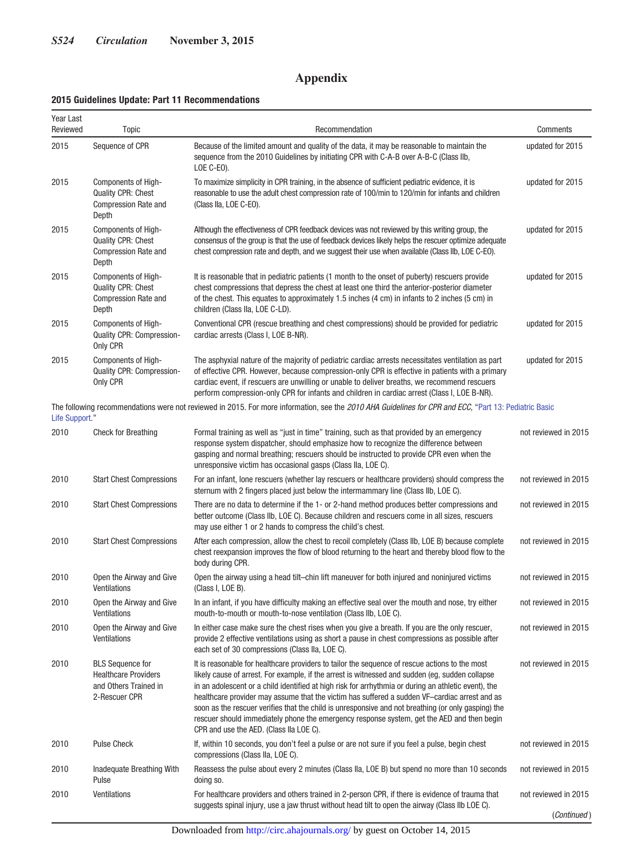## **Appendix**

## **2015 Guidelines Update: Part 11 Recommendations**

| Year Last<br>Reviewed | Topic                                                                                            | Recommendation                                                                                                                                                                                                                                                                                                                                                                                                                                                                                                                                                                                                                                             | Comments             |
|-----------------------|--------------------------------------------------------------------------------------------------|------------------------------------------------------------------------------------------------------------------------------------------------------------------------------------------------------------------------------------------------------------------------------------------------------------------------------------------------------------------------------------------------------------------------------------------------------------------------------------------------------------------------------------------------------------------------------------------------------------------------------------------------------------|----------------------|
| 2015                  | Sequence of CPR                                                                                  | Because of the limited amount and quality of the data, it may be reasonable to maintain the<br>sequence from the 2010 Guidelines by initiating CPR with C-A-B over A-B-C (Class IIb,<br>LOE C-EO).                                                                                                                                                                                                                                                                                                                                                                                                                                                         | updated for 2015     |
| 2015                  | Components of High-<br><b>Quality CPR: Chest</b><br><b>Compression Rate and</b><br>Depth         | To maximize simplicity in CPR training, in the absence of sufficient pediatric evidence, it is<br>reasonable to use the adult chest compression rate of 100/min to 120/min for infants and children<br>(Class IIa, LOE C-EO).                                                                                                                                                                                                                                                                                                                                                                                                                              | updated for 2015     |
| 2015                  | Components of High-<br><b>Quality CPR: Chest</b><br><b>Compression Rate and</b><br>Depth         | Although the effectiveness of CPR feedback devices was not reviewed by this writing group, the<br>consensus of the group is that the use of feedback devices likely helps the rescuer optimize adequate<br>chest compression rate and depth, and we suggest their use when available (Class IIb, LOE C-EO).                                                                                                                                                                                                                                                                                                                                                | updated for 2015     |
| 2015                  | Components of High-<br><b>Quality CPR: Chest</b><br><b>Compression Rate and</b><br>Depth         | It is reasonable that in pediatric patients (1 month to the onset of puberty) rescuers provide<br>chest compressions that depress the chest at least one third the anterior-posterior diameter<br>of the chest. This equates to approximately 1.5 inches (4 cm) in infants to 2 inches (5 cm) in<br>children (Class IIa, LOE C-LD).                                                                                                                                                                                                                                                                                                                        | updated for 2015     |
| 2015                  | Components of High-<br>Quality CPR: Compression-<br>Only CPR                                     | Conventional CPR (rescue breathing and chest compressions) should be provided for pediatric<br>cardiac arrests (Class I, LOE B-NR).                                                                                                                                                                                                                                                                                                                                                                                                                                                                                                                        | updated for 2015     |
| 2015                  | Components of High-<br>Quality CPR: Compression-<br>Only CPR                                     | The asphyxial nature of the majority of pediatric cardiac arrests necessitates ventilation as part<br>of effective CPR. However, because compression-only CPR is effective in patients with a primary<br>cardiac event, if rescuers are unwilling or unable to deliver breaths, we recommend rescuers<br>perform compression-only CPR for infants and children in cardiac arrest (Class I, LOE B-NR).                                                                                                                                                                                                                                                      | updated for 2015     |
| Life Support."        |                                                                                                  | The following recommendations were not reviewed in 2015. For more information, see the 2010 AHA Guidelines for CPR and ECC, "Part 13: Pediatric Basic                                                                                                                                                                                                                                                                                                                                                                                                                                                                                                      |                      |
| 2010                  | <b>Check for Breathing</b>                                                                       | Formal training as well as "just in time" training, such as that provided by an emergency<br>response system dispatcher, should emphasize how to recognize the difference between<br>gasping and normal breathing; rescuers should be instructed to provide CPR even when the<br>unresponsive victim has occasional gasps (Class IIa, LOE C).                                                                                                                                                                                                                                                                                                              | not reviewed in 2015 |
| 2010                  | <b>Start Chest Compressions</b>                                                                  | For an infant, lone rescuers (whether lay rescuers or healthcare providers) should compress the<br>sternum with 2 fingers placed just below the intermammary line (Class IIb, LOE C).                                                                                                                                                                                                                                                                                                                                                                                                                                                                      | not reviewed in 2015 |
| 2010                  | <b>Start Chest Compressions</b>                                                                  | There are no data to determine if the 1- or 2-hand method produces better compressions and<br>better outcome (Class IIb, LOE C). Because children and rescuers come in all sizes, rescuers<br>may use either 1 or 2 hands to compress the child's chest.                                                                                                                                                                                                                                                                                                                                                                                                   | not reviewed in 2015 |
| 2010                  | <b>Start Chest Compressions</b>                                                                  | After each compression, allow the chest to recoil completely (Class IIb, LOE B) because complete<br>chest reexpansion improves the flow of blood returning to the heart and thereby blood flow to the<br>body during CPR.                                                                                                                                                                                                                                                                                                                                                                                                                                  | not reviewed in 2015 |
| 2010                  | Open the Airway and Give<br>Ventilations                                                         | Open the airway using a head tilt–chin lift maneuver for both injured and noninjured victims<br>(Class I, LOE B).                                                                                                                                                                                                                                                                                                                                                                                                                                                                                                                                          | not reviewed in 2015 |
| 2010                  | Open the Airway and Give<br>Ventilations                                                         | In an infant, if you have difficulty making an effective seal over the mouth and nose, try either<br>mouth-to-mouth or mouth-to-nose ventilation (Class IIb, LOE C).                                                                                                                                                                                                                                                                                                                                                                                                                                                                                       | not reviewed in 2015 |
| 2010                  | Open the Airway and Give<br>Ventilations                                                         | In either case make sure the chest rises when you give a breath. If you are the only rescuer,<br>provide 2 effective ventilations using as short a pause in chest compressions as possible after<br>each set of 30 compressions (Class IIa, LOE C).                                                                                                                                                                                                                                                                                                                                                                                                        | not reviewed in 2015 |
| 2010                  | <b>BLS</b> Sequence for<br><b>Healthcare Providers</b><br>and Others Trained in<br>2-Rescuer CPR | It is reasonable for healthcare providers to tailor the sequence of rescue actions to the most<br>likely cause of arrest. For example, if the arrest is witnessed and sudden (eq, sudden collapse<br>in an adolescent or a child identified at high risk for arrhythmia or during an athletic event), the<br>healthcare provider may assume that the victim has suffered a sudden VF-cardiac arrest and as<br>soon as the rescuer verifies that the child is unresponsive and not breathing (or only gasping) the<br>rescuer should immediately phone the emergency response system, get the AED and then begin<br>CPR and use the AED. (Class IIa LOE C). | not reviewed in 2015 |
| 2010                  | <b>Pulse Check</b>                                                                               | If, within 10 seconds, you don't feel a pulse or are not sure if you feel a pulse, begin chest<br>compressions (Class IIa, LOE C).                                                                                                                                                                                                                                                                                                                                                                                                                                                                                                                         | not reviewed in 2015 |
| 2010                  | Inadequate Breathing With<br>Pulse                                                               | Reassess the pulse about every 2 minutes (Class IIa, LOE B) but spend no more than 10 seconds<br>doing so.                                                                                                                                                                                                                                                                                                                                                                                                                                                                                                                                                 | not reviewed in 2015 |
| 2010                  | Ventilations                                                                                     | For healthcare providers and others trained in 2-person CPR, if there is evidence of trauma that<br>suggests spinal injury, use a jaw thrust without head tilt to open the airway (Class IIb LOE C).                                                                                                                                                                                                                                                                                                                                                                                                                                                       | not reviewed in 2015 |
|                       |                                                                                                  |                                                                                                                                                                                                                                                                                                                                                                                                                                                                                                                                                                                                                                                            | (Continued)          |

Downloaded from<http://circ.ahajournals.org/>by guest on October 14, 2015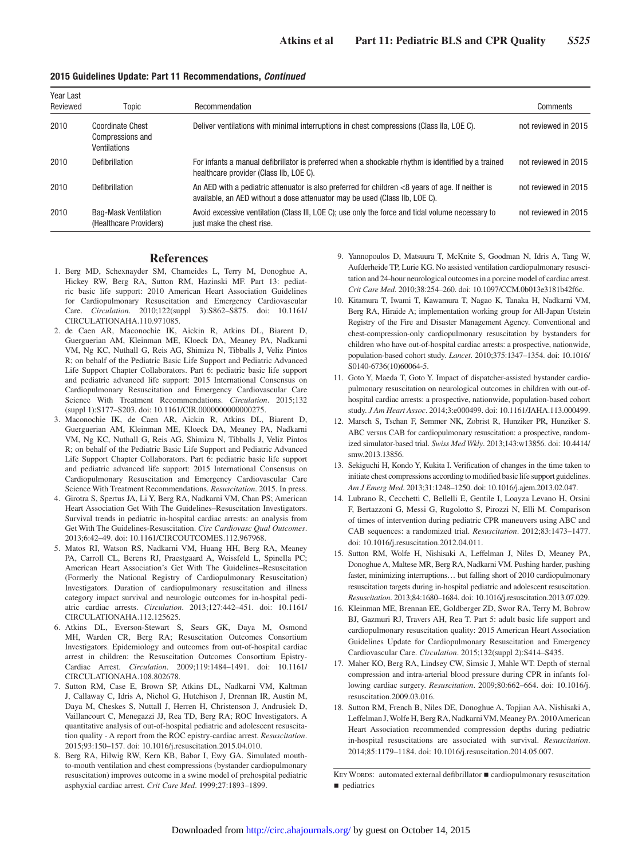| Year Last<br>Reviewed | Topic                                                       | Recommendation                                                                                                                                                                  | Comments             |
|-----------------------|-------------------------------------------------------------|---------------------------------------------------------------------------------------------------------------------------------------------------------------------------------|----------------------|
| 2010                  | <b>Coordinate Chest</b><br>Compressions and<br>Ventilations | Deliver ventilations with minimal interruptions in chest compressions (Class IIa, LOE C).                                                                                       | not reviewed in 2015 |
| 2010                  | Defibrillation                                              | For infants a manual defibrillator is preferred when a shockable rhythm is identified by a trained<br>healthcare provider (Class IIb, LOE C).                                   | not reviewed in 2015 |
| 2010                  | Defibrillation                                              | An AED with a pediatric attenuator is also preferred for children <8 years of age. If neither is<br>available, an AED without a dose attenuator may be used (Class IIb, LOE C). | not reviewed in 2015 |
| 2010                  | <b>Bag-Mask Ventilation</b><br>(Healthcare Providers)       | Avoid excessive ventilation (Class III, LOE C); use only the force and tidal volume necessary to<br>just make the chest rise.                                                   | not reviewed in 2015 |

#### **2015 Guidelines Update: Part 11 Recommendations,** *Continued*

### **References**

- 1. Berg MD, Schexnayder SM, Chameides L, Terry M, Donoghue A, Hickey RW, Berg RA, Sutton RM, Hazinski MF. Part 13: pediatric basic life support: 2010 American Heart Association Guidelines for Cardiopulmonary Resuscitation and Emergency Cardiovascular Care. *Circulation*. 2010;122(suppl 3):S862–S875. doi: 10.1161/ CIRCULATIONAHA.110.971085.
- 2. de Caen AR, Maconochie IK, Aickin R, Atkins DL, Biarent D, Guerguerian AM, Kleinman ME, Kloeck DA, Meaney PA, Nadkarni VM, Ng KC, Nuthall G, Reis AG, Shimizu N, Tibballs J, Veliz Pintos R; on behalf of the Pediatric Basic Life Support and Pediatric Advanced Life Support Chapter Collaborators. Part 6: pediatric basic life support and pediatric advanced life support: 2015 International Consensus on Cardiopulmonary Resuscitation and Emergency Cardiovascular Care Science With Treatment Recommendations. *Circulation*. 2015;132 (suppl 1):S177–S203. doi: 10.1161/CIR.0000000000000275.
- 3. Maconochie IK, de Caen AR, Aickin R, Atkins DL, Biarent D, Guerguerian AM, Kleinman ME, Kloeck DA, Meaney PA, Nadkarni VM, Ng KC, Nuthall G, Reis AG, Shimizu N, Tibballs J, Veliz Pintos R; on behalf of the Pediatric Basic Life Support and Pediatric Advanced Life Support Chapter Collaborators. Part 6: pediatric basic life support and pediatric advanced life support: 2015 International Consensus on Cardiopulmonary Resuscitation and Emergency Cardiovascular Care Science With Treatment Recommendations. *Resuscitation*. 2015. In press.
- 4. Girotra S, Spertus JA, Li Y, Berg RA, Nadkarni VM, Chan PS; American Heart Association Get With The Guidelines–Resuscitation Investigators. Survival trends in pediatric in-hospital cardiac arrests: an analysis from Get With The Guidelines-Resuscitation. *Circ Cardiovasc Qual Outcomes*. 2013;6:42–49. doi: 10.1161/CIRCOUTCOMES.112.967968.
- 5. Matos RI, Watson RS, Nadkarni VM, Huang HH, Berg RA, Meaney PA, Carroll CL, Berens RJ, Praestgaard A, Weissfeld L, Spinella PC; American Heart Association's Get With The Guidelines–Resuscitation (Formerly the National Registry of Cardiopulmonary Resuscitation) Investigators. Duration of cardiopulmonary resuscitation and illness category impact survival and neurologic outcomes for in-hospital pediatric cardiac arrests. *Circulation*. 2013;127:442–451. doi: 10.1161/ CIRCULATIONAHA.112.125625.
- 6. Atkins DL, Everson-Stewart S, Sears GK, Daya M, Osmond MH, Warden CR, Berg RA; Resuscitation Outcomes Consortium Investigators. Epidemiology and outcomes from out-of-hospital cardiac arrest in children: the Resuscitation Outcomes Consortium Epistry-Cardiac Arrest. *Circulation*. 2009;119:1484–1491. doi: 10.1161/ CIRCULATIONAHA.108.802678.
- 7. Sutton RM, Case E, Brown SP, Atkins DL, Nadkarni VM, Kaltman J, Callaway C, Idris A, Nichol G, Hutchison J, Drennan IR, Austin M, Daya M, Cheskes S, Nuttall J, Herren H, Christenson J, Andrusiek D, Vaillancourt C, Menegazzi JJ, Rea TD, Berg RA; ROC Investigators. A quantitative analysis of out-of-hospital pediatric and adolescent resuscitation quality - A report from the ROC epistry-cardiac arrest. *Resuscitation*. 2015;93:150–157. doi: 10.1016/j.resuscitation.2015.04.010.
- 8. Berg RA, Hilwig RW, Kern KB, Babar I, Ewy GA. Simulated mouthto-mouth ventilation and chest compressions (bystander cardiopulmonary resuscitation) improves outcome in a swine model of prehospital pediatric asphyxial cardiac arrest. *Crit Care Med*. 1999;27:1893–1899.
- 9. Yannopoulos D, Matsuura T, McKnite S, Goodman N, Idris A, Tang W, Aufderheide TP, Lurie KG. No assisted ventilation cardiopulmonary resuscitation and 24-hour neurological outcomes in a porcine model of cardiac arrest. *Crit Care Med*. 2010;38:254–260. doi: 10.1097/CCM.0b013e3181b42f6c.
- 10. Kitamura T, Iwami T, Kawamura T, Nagao K, Tanaka H, Nadkarni VM, Berg RA, Hiraide A; implementation working group for All-Japan Utstein Registry of the Fire and Disaster Management Agency. Conventional and chest-compression-only cardiopulmonary resuscitation by bystanders for children who have out-of-hospital cardiac arrests: a prospective, nationwide, population-based cohort study. *Lancet*. 2010;375:1347–1354. doi: 10.1016/ S0140-6736(10)60064-5.
- 11. Goto Y, Maeda T, Goto Y. Impact of dispatcher-assisted bystander cardiopulmonary resuscitation on neurological outcomes in children with out-ofhospital cardiac arrests: a prospective, nationwide, population-based cohort study. *J Am Heart Assoc*. 2014;3:e000499. doi: 10.1161/JAHA.113.000499.
- 12. Marsch S, Tschan F, Semmer NK, Zobrist R, Hunziker PR, Hunziker S. ABC versus CAB for cardiopulmonary resuscitation: a prospective, randomized simulator-based trial. *Swiss Med Wkly*. 2013;143:w13856. doi: 10.4414/ smw.2013.13856.
- 13. Sekiguchi H, Kondo Y, Kukita I. Verification of changes in the time taken to initiate chest compressions according to modified basic life support guidelines. *Am J Emerg Med*. 2013;31:1248–1250. doi: 10.1016/j.ajem.2013.02.047.
- 14. Lubrano R, Cecchetti C, Bellelli E, Gentile I, Loayza Levano H, Orsini F, Bertazzoni G, Messi G, Rugolotto S, Pirozzi N, Elli M. Comparison of times of intervention during pediatric CPR maneuvers using ABC and CAB sequences: a randomized trial. *Resuscitation*. 2012;83:1473–1477. doi: 10.1016/j.resuscitation.2012.04.011.
- 15. Sutton RM, Wolfe H, Nishisaki A, Leffelman J, Niles D, Meaney PA, Donoghue A, Maltese MR, Berg RA, Nadkarni VM. Pushing harder, pushing faster, minimizing interruptions… but falling short of 2010 cardiopulmonary resuscitation targets during in-hospital pediatric and adolescent resuscitation. *Resuscitation*. 2013;84:1680–1684. doi: 10.1016/j.resuscitation.2013.07.029.
- 16. Kleinman ME, Brennan EE, Goldberger ZD, Swor RA, Terry M, Bobrow BJ, Gazmuri RJ, Travers AH, Rea T. Part 5: adult basic life support and cardiopulmonary resuscitation quality: 2015 American Heart Association Guidelines Update for Cardiopulmonary Resuscitation and Emergency Cardiovascular Care. *Circulation*. 2015;132(suppl 2):S414–S435.
- 17. Maher KO, Berg RA, Lindsey CW, Simsic J, Mahle WT. Depth of sternal compression and intra-arterial blood pressure during CPR in infants following cardiac surgery. *Resuscitation*. 2009;80:662–664. doi: 10.1016/j. resuscitation.2009.03.016.
- 18. Sutton RM, French B, Niles DE, Donoghue A, Topjian AA, Nishisaki A, Leffelman J, Wolfe H, Berg RA, Nadkarni VM, Meaney PA. 2010 American Heart Association recommended compression depths during pediatric in-hospital resuscitations are associated with survival. *Resuscitation*. 2014;85:1179–1184. doi: 10.1016/j.resuscitation.2014.05.007.

KEY WORDS: automated external defibrillator ■ cardiopulmonary resuscitation ■ pediatrics